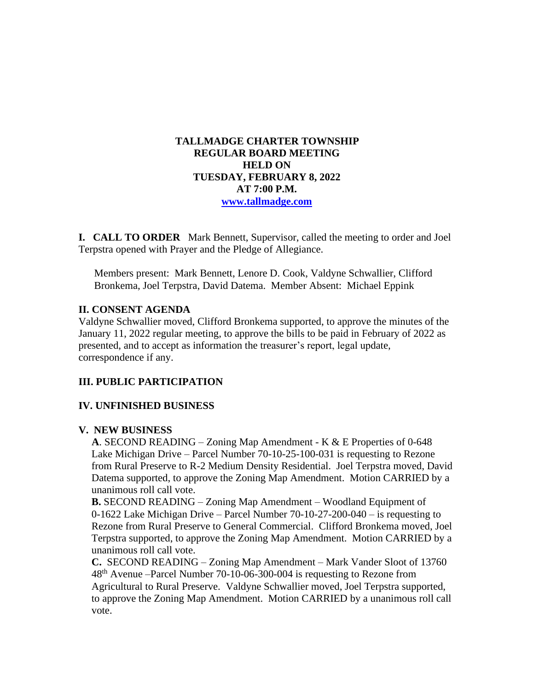# **TALLMADGE CHARTER TOWNSHIP REGULAR BOARD MEETING HELD ON TUESDAY, FEBRUARY 8, 2022 AT 7:00 P.M. [www.tallmadge.com](http://www.tallmadge.com/)**

**I. CALL TO ORDER** Mark Bennett, Supervisor, called the meeting to order and Joel Terpstra opened with Prayer and the Pledge of Allegiance.

Members present: Mark Bennett, Lenore D. Cook, Valdyne Schwallier, Clifford Bronkema, Joel Terpstra, David Datema. Member Absent: Michael Eppink

### **II. CONSENT AGENDA**

Valdyne Schwallier moved, Clifford Bronkema supported, to approve the minutes of the January 11, 2022 regular meeting, to approve the bills to be paid in February of 2022 as presented, and to accept as information the treasurer's report, legal update, correspondence if any.

# **III. PUBLIC PARTICIPATION**

# **IV. UNFINISHED BUSINESS**

#### **V. NEW BUSINESS**

 **A**. SECOND READING – Zoning Map Amendment - K & E Properties of 0-648 Lake Michigan Drive – Parcel Number 70-10-25-100-031 is requesting to Rezone from Rural Preserve to R-2 Medium Density Residential. Joel Terpstra moved, David Datema supported, to approve the Zoning Map Amendment. Motion CARRIED by a unanimous roll call vote.

 **B.** SECOND READING – Zoning Map Amendment – Woodland Equipment of 0-1622 Lake Michigan Drive – Parcel Number 70-10-27-200-040 – is requesting to Rezone from Rural Preserve to General Commercial. Clifford Bronkema moved, Joel Terpstra supported, to approve the Zoning Map Amendment. Motion CARRIED by a unanimous roll call vote.

 **C.** SECOND READING – Zoning Map Amendment – Mark Vander Sloot of 13760 48th Avenue –Parcel Number 70-10-06-300-004 is requesting to Rezone from Agricultural to Rural Preserve. Valdyne Schwallier moved, Joel Terpstra supported, to approve the Zoning Map Amendment. Motion CARRIED by a unanimous roll call vote.